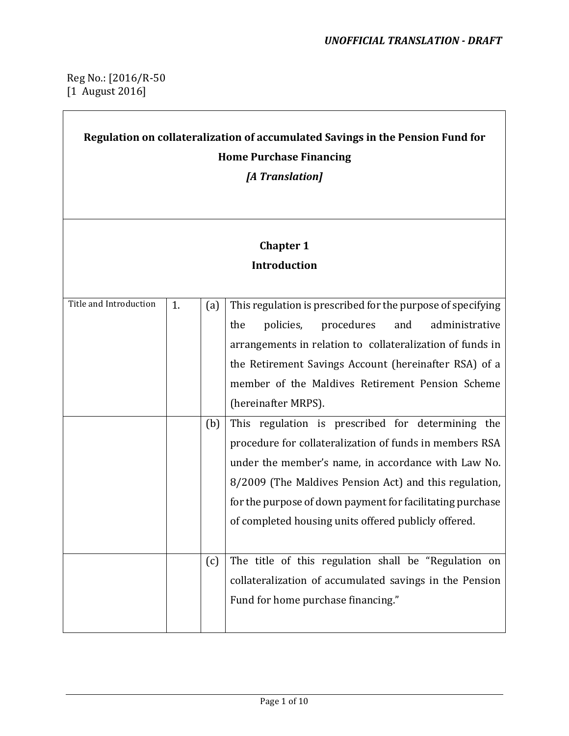#### Reg No.: [2016/R-50  $[1$  August 2016]

# Regulation on collateralization of accumulated Savings in the Pension Fund for **Home Purchase Financing**

*[A Translation]*

### **Chapter 1 Introduction**

| Title and Introduction | 1. | (a) | This regulation is prescribed for the purpose of specifying |
|------------------------|----|-----|-------------------------------------------------------------|
|                        |    |     | policies,<br>procedures<br>and<br>administrative<br>the     |
|                        |    |     | arrangements in relation to collateralization of funds in   |
|                        |    |     | the Retirement Savings Account (hereinafter RSA) of a       |
|                        |    |     | member of the Maldives Retirement Pension Scheme            |
|                        |    |     | (hereinafter MRPS).                                         |
|                        |    | (b) | This regulation is prescribed for determining the           |
|                        |    |     | procedure for collateralization of funds in members RSA     |
|                        |    |     | under the member's name, in accordance with Law No.         |
|                        |    |     | 8/2009 (The Maldives Pension Act) and this regulation,      |
|                        |    |     | for the purpose of down payment for facilitating purchase   |
|                        |    |     | of completed housing units offered publicly offered.        |
|                        |    |     |                                                             |
|                        |    | (c) | The title of this regulation shall be "Regulation on        |
|                        |    |     | collateralization of accumulated savings in the Pension     |
|                        |    |     | Fund for home purchase financing."                          |
|                        |    |     |                                                             |
|                        |    |     |                                                             |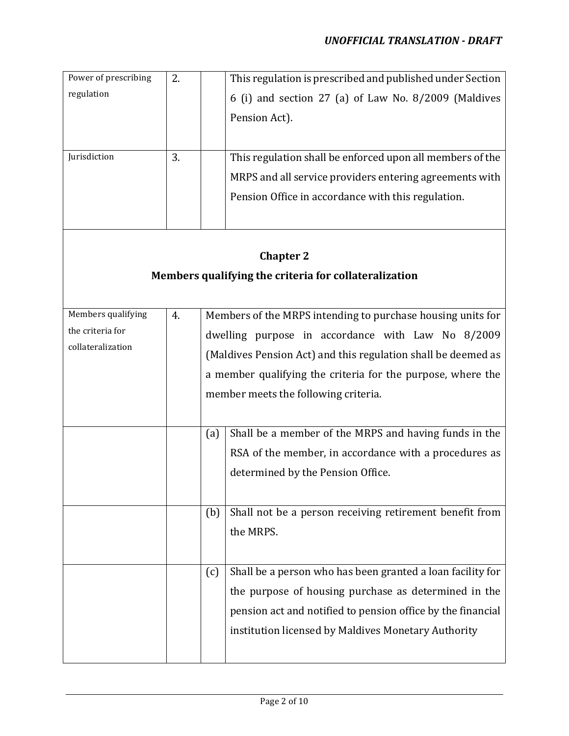| Power of prescribing | 2. |     | This regulation is prescribed and published under Section     |
|----------------------|----|-----|---------------------------------------------------------------|
| regulation           |    |     | 6 (i) and section 27 (a) of Law No. 8/2009 (Maldives          |
|                      |    |     | Pension Act).                                                 |
|                      |    |     |                                                               |
| Jurisdiction         | 3. |     | This regulation shall be enforced upon all members of the     |
|                      |    |     |                                                               |
|                      |    |     | MRPS and all service providers entering agreements with       |
|                      |    |     | Pension Office in accordance with this regulation.            |
|                      |    |     |                                                               |
|                      |    |     |                                                               |
|                      |    |     | <b>Chapter 2</b>                                              |
|                      |    |     | Members qualifying the criteria for collateralization         |
|                      |    |     |                                                               |
| Members qualifying   | 4. |     | Members of the MRPS intending to purchase housing units for   |
| the criteria for     |    |     | dwelling purpose in accordance with Law No 8/2009             |
| collateralization    |    |     | (Maldives Pension Act) and this regulation shall be deemed as |
|                      |    |     | a member qualifying the criteria for the purpose, where the   |
|                      |    |     | member meets the following criteria.                          |
|                      |    |     |                                                               |
|                      |    |     |                                                               |
|                      |    | (a) | Shall be a member of the MRPS and having funds in the         |
|                      |    |     | RSA of the member, in accordance with a procedures as         |
|                      |    |     | determined by the Pension Office.                             |
|                      |    |     |                                                               |
|                      |    | (b) | Shall not be a person receiving retirement benefit from       |
|                      |    |     | the MRPS.                                                     |
|                      |    |     |                                                               |
|                      |    | (c) | Shall be a person who has been granted a loan facility for    |
|                      |    |     | the purpose of housing purchase as determined in the          |
|                      |    |     | pension act and notified to pension office by the financial   |
|                      |    |     | institution licensed by Maldives Monetary Authority           |
|                      |    |     |                                                               |
|                      |    |     |                                                               |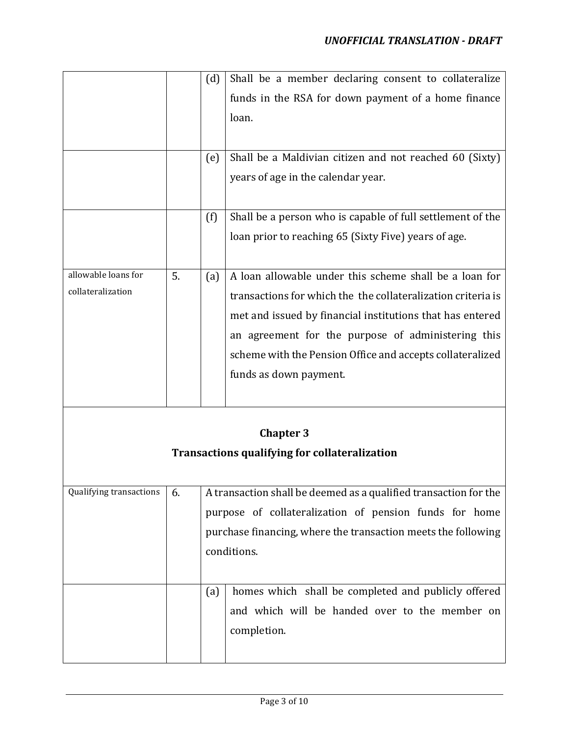|                         |    | (d) | Shall be a member declaring consent to collateralize             |
|-------------------------|----|-----|------------------------------------------------------------------|
|                         |    |     | funds in the RSA for down payment of a home finance              |
|                         |    |     | loan.                                                            |
|                         |    |     |                                                                  |
|                         |    |     |                                                                  |
|                         |    | (e) | Shall be a Maldivian citizen and not reached 60 (Sixty)          |
|                         |    |     | years of age in the calendar year.                               |
|                         |    |     |                                                                  |
|                         |    | (f) | Shall be a person who is capable of full settlement of the       |
|                         |    |     | loan prior to reaching 65 (Sixty Five) years of age.             |
|                         |    |     |                                                                  |
| allowable loans for     | 5. | (a) | A loan allowable under this scheme shall be a loan for           |
| collateralization       |    |     | transactions for which the the collateralization criteria is     |
|                         |    |     | met and issued by financial institutions that has entered        |
|                         |    |     | an agreement for the purpose of administering this               |
|                         |    |     | scheme with the Pension Office and accepts collateralized        |
|                         |    |     |                                                                  |
|                         |    |     | funds as down payment.                                           |
|                         |    |     |                                                                  |
|                         |    |     |                                                                  |
|                         |    |     | <b>Chapter 3</b>                                                 |
|                         |    |     | <b>Transactions qualifying for collateralization</b>             |
|                         |    |     |                                                                  |
| Qualifying transactions | 6. |     | A transaction shall be deemed as a qualified transaction for the |
|                         |    |     | purpose of collateralization of pension funds for home           |
|                         |    |     | purchase financing, where the transaction meets the following    |
|                         |    |     | conditions.                                                      |
|                         |    |     |                                                                  |
|                         |    |     | homes which shall be completed and publicly offered              |
|                         |    | (a) |                                                                  |
|                         |    |     | and which will be handed over to the member on                   |
|                         |    |     | completion.                                                      |
|                         |    |     |                                                                  |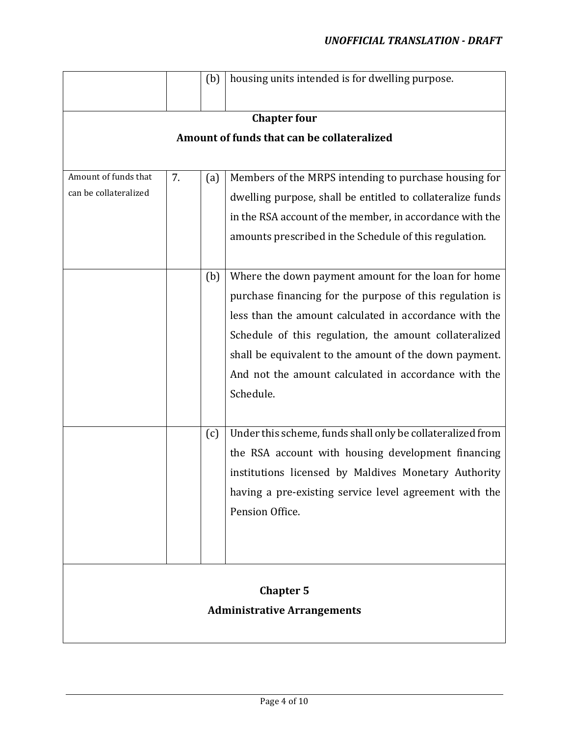|                                            |    | (b) | housing units intended is for dwelling purpose.            |  |  |
|--------------------------------------------|----|-----|------------------------------------------------------------|--|--|
|                                            |    |     | <b>Chapter four</b>                                        |  |  |
| Amount of funds that can be collateralized |    |     |                                                            |  |  |
|                                            |    |     |                                                            |  |  |
| Amount of funds that                       | 7. | (a) | Members of the MRPS intending to purchase housing for      |  |  |
| can be collateralized                      |    |     | dwelling purpose, shall be entitled to collateralize funds |  |  |
|                                            |    |     | in the RSA account of the member, in accordance with the   |  |  |
|                                            |    |     | amounts prescribed in the Schedule of this regulation.     |  |  |
|                                            |    |     |                                                            |  |  |
|                                            |    | (b) | Where the down payment amount for the loan for home        |  |  |
|                                            |    |     | purchase financing for the purpose of this regulation is   |  |  |
|                                            |    |     | less than the amount calculated in accordance with the     |  |  |
|                                            |    |     | Schedule of this regulation, the amount collateralized     |  |  |
|                                            |    |     | shall be equivalent to the amount of the down payment.     |  |  |
|                                            |    |     | And not the amount calculated in accordance with the       |  |  |
|                                            |    |     | Schedule.                                                  |  |  |
|                                            |    |     |                                                            |  |  |
|                                            |    | (c) | Under this scheme, funds shall only be collateralized from |  |  |
|                                            |    |     | the RSA account with housing development financing         |  |  |
|                                            |    |     | institutions licensed by Maldives Monetary Authority       |  |  |
|                                            |    |     | having a pre-existing service level agreement with the     |  |  |
|                                            |    |     | Pension Office.                                            |  |  |
|                                            |    |     |                                                            |  |  |
|                                            |    |     |                                                            |  |  |
|                                            |    |     |                                                            |  |  |
|                                            |    |     | <b>Chapter 5</b>                                           |  |  |
|                                            |    |     | <b>Administrative Arrangements</b>                         |  |  |
|                                            |    |     |                                                            |  |  |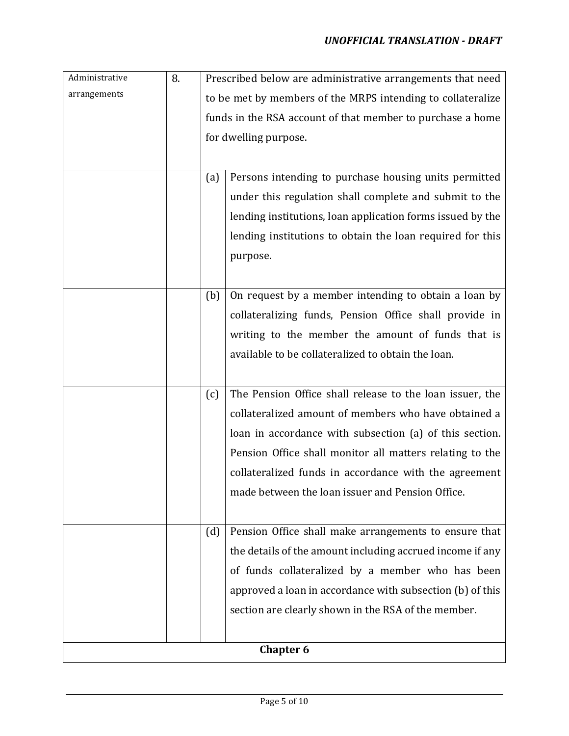| Administrative   | 8. |                                                             | Prescribed below are administrative arrangements that need |  |  |
|------------------|----|-------------------------------------------------------------|------------------------------------------------------------|--|--|
| arrangements     |    | to be met by members of the MRPS intending to collateralize |                                                            |  |  |
|                  |    | funds in the RSA account of that member to purchase a home  |                                                            |  |  |
|                  |    |                                                             | for dwelling purpose.                                      |  |  |
|                  |    |                                                             |                                                            |  |  |
|                  |    | (a)                                                         | Persons intending to purchase housing units permitted      |  |  |
|                  |    |                                                             | under this regulation shall complete and submit to the     |  |  |
|                  |    |                                                             | lending institutions, loan application forms issued by the |  |  |
|                  |    |                                                             | lending institutions to obtain the loan required for this  |  |  |
|                  |    |                                                             | purpose.                                                   |  |  |
|                  |    |                                                             |                                                            |  |  |
|                  |    | (b)                                                         | On request by a member intending to obtain a loan by       |  |  |
|                  |    |                                                             | collateralizing funds, Pension Office shall provide in     |  |  |
|                  |    |                                                             | writing to the member the amount of funds that is          |  |  |
|                  |    |                                                             | available to be collateralized to obtain the loan.         |  |  |
|                  |    |                                                             |                                                            |  |  |
|                  |    | (c)                                                         | The Pension Office shall release to the loan issuer, the   |  |  |
|                  |    |                                                             | collateralized amount of members who have obtained a       |  |  |
|                  |    |                                                             | loan in accordance with subsection (a) of this section.    |  |  |
|                  |    |                                                             | Pension Office shall monitor all matters relating to the   |  |  |
|                  |    |                                                             | collateralized funds in accordance with the agreement      |  |  |
|                  |    |                                                             | made between the loan issuer and Pension Office.           |  |  |
|                  |    |                                                             |                                                            |  |  |
|                  |    | (d)                                                         | Pension Office shall make arrangements to ensure that      |  |  |
|                  |    |                                                             | the details of the amount including accrued income if any  |  |  |
|                  |    |                                                             | of funds collateralized by a member who has been           |  |  |
|                  |    |                                                             | approved a loan in accordance with subsection (b) of this  |  |  |
|                  |    |                                                             | section are clearly shown in the RSA of the member.        |  |  |
|                  |    |                                                             |                                                            |  |  |
| <b>Chapter 6</b> |    |                                                             |                                                            |  |  |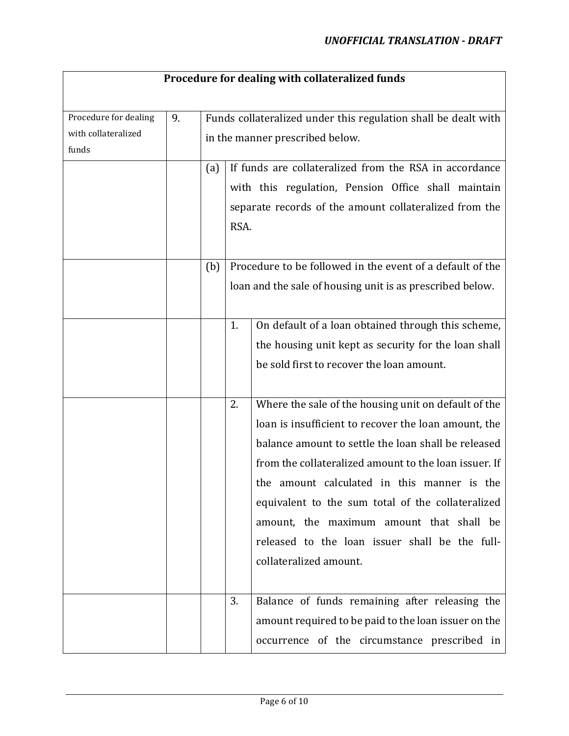## **Procedure for dealing with collateralized funds**

| Procedure for dealing | 9. |                                 |      | Funds collateralized under this regulation shall be dealt with |  |
|-----------------------|----|---------------------------------|------|----------------------------------------------------------------|--|
| with collateralized   |    | in the manner prescribed below. |      |                                                                |  |
| funds                 |    |                                 |      |                                                                |  |
|                       |    | (a)                             |      | If funds are collateralized from the RSA in accordance         |  |
|                       |    |                                 |      | with this regulation, Pension Office shall maintain            |  |
|                       |    |                                 |      |                                                                |  |
|                       |    |                                 |      | separate records of the amount collateralized from the         |  |
|                       |    |                                 | RSA. |                                                                |  |
|                       |    |                                 |      |                                                                |  |
|                       |    | (b)                             |      | Procedure to be followed in the event of a default of the      |  |
|                       |    |                                 |      | loan and the sale of housing unit is as prescribed below.      |  |
|                       |    |                                 |      |                                                                |  |
|                       |    |                                 |      |                                                                |  |
|                       |    |                                 | 1.   | On default of a loan obtained through this scheme,             |  |
|                       |    |                                 |      | the housing unit kept as security for the loan shall           |  |
|                       |    |                                 |      | be sold first to recover the loan amount.                      |  |
|                       |    |                                 |      |                                                                |  |
|                       |    |                                 |      |                                                                |  |
|                       |    |                                 | 2.   | Where the sale of the housing unit on default of the           |  |
|                       |    |                                 |      | loan is insufficient to recover the loan amount, the           |  |
|                       |    |                                 |      | balance amount to settle the loan shall be released            |  |
|                       |    |                                 |      | from the collateralized amount to the loan issuer. If          |  |
|                       |    |                                 |      | the amount calculated in this manner is the                    |  |
|                       |    |                                 |      |                                                                |  |
|                       |    |                                 |      | equivalent to the sum total of the collateralized              |  |
|                       |    |                                 |      | amount, the maximum amount that shall be                       |  |
|                       |    |                                 |      | released to the loan issuer shall be the full-                 |  |
|                       |    |                                 |      | collateralized amount.                                         |  |
|                       |    |                                 |      |                                                                |  |
|                       |    |                                 |      |                                                                |  |
|                       |    |                                 | 3.   | Balance of funds remaining after releasing the                 |  |
|                       |    |                                 |      | amount required to be paid to the loan issuer on the           |  |
|                       |    |                                 |      | occurrence of the circumstance prescribed in                   |  |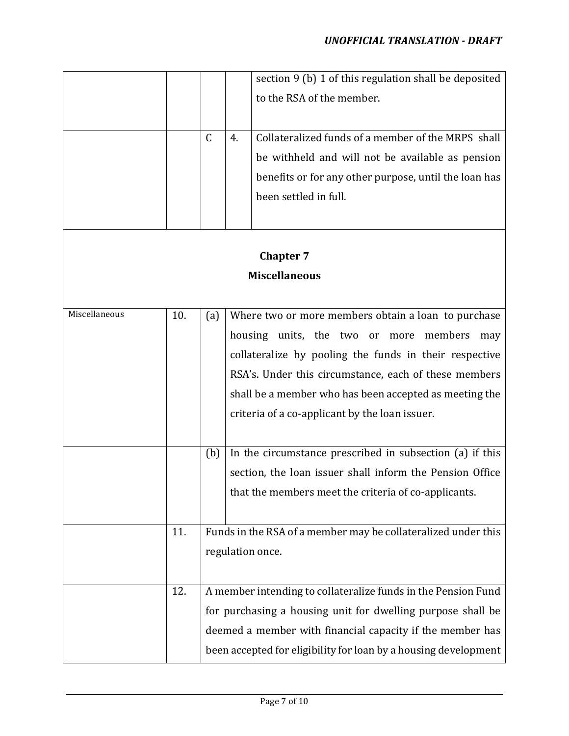|               |     |              |    | section 9 (b) 1 of this regulation shall be deposited                                                                                                                                                                                                                                                   |
|---------------|-----|--------------|----|---------------------------------------------------------------------------------------------------------------------------------------------------------------------------------------------------------------------------------------------------------------------------------------------------------|
|               |     |              |    | to the RSA of the member.                                                                                                                                                                                                                                                                               |
|               |     |              |    |                                                                                                                                                                                                                                                                                                         |
|               |     |              |    |                                                                                                                                                                                                                                                                                                         |
|               |     | $\mathsf{C}$ | 4. | Collateralized funds of a member of the MRPS shall                                                                                                                                                                                                                                                      |
|               |     |              |    | be withheld and will not be available as pension                                                                                                                                                                                                                                                        |
|               |     |              |    | benefits or for any other purpose, until the loan has                                                                                                                                                                                                                                                   |
|               |     |              |    | been settled in full.                                                                                                                                                                                                                                                                                   |
|               |     |              |    |                                                                                                                                                                                                                                                                                                         |
|               |     |              |    |                                                                                                                                                                                                                                                                                                         |
|               |     |              |    | <b>Chapter 7</b>                                                                                                                                                                                                                                                                                        |
|               |     |              |    | <b>Miscellaneous</b>                                                                                                                                                                                                                                                                                    |
|               |     |              |    |                                                                                                                                                                                                                                                                                                         |
| Miscellaneous | 10. |              |    | Where two or more members obtain a loan to purchase                                                                                                                                                                                                                                                     |
|               |     | (a)          |    |                                                                                                                                                                                                                                                                                                         |
|               |     |              |    | housing units, the two or more members<br>may                                                                                                                                                                                                                                                           |
|               |     |              |    |                                                                                                                                                                                                                                                                                                         |
|               |     |              |    | RSA's. Under this circumstance, each of these members                                                                                                                                                                                                                                                   |
|               |     |              |    | shall be a member who has been accepted as meeting the                                                                                                                                                                                                                                                  |
|               |     |              |    | criteria of a co-applicant by the loan issuer.                                                                                                                                                                                                                                                          |
|               |     |              |    |                                                                                                                                                                                                                                                                                                         |
|               |     |              |    |                                                                                                                                                                                                                                                                                                         |
|               |     |              |    |                                                                                                                                                                                                                                                                                                         |
|               |     |              |    |                                                                                                                                                                                                                                                                                                         |
|               |     |              |    |                                                                                                                                                                                                                                                                                                         |
|               |     |              |    |                                                                                                                                                                                                                                                                                                         |
|               |     |              |    |                                                                                                                                                                                                                                                                                                         |
| 11.           |     |              |    |                                                                                                                                                                                                                                                                                                         |
|               |     |              |    | regulation once.                                                                                                                                                                                                                                                                                        |
|               |     |              |    |                                                                                                                                                                                                                                                                                                         |
| 12.           |     |              |    | A member intending to collateralize funds in the Pension Fund                                                                                                                                                                                                                                           |
|               |     |              |    | for purchasing a housing unit for dwelling purpose shall be                                                                                                                                                                                                                                             |
|               |     |              |    | deemed a member with financial capacity if the member has                                                                                                                                                                                                                                               |
|               |     | (b)          |    | collateralize by pooling the funds in their respective<br>In the circumstance prescribed in subsection (a) if this<br>section, the loan issuer shall inform the Pension Office<br>that the members meet the criteria of co-applicants.<br>Funds in the RSA of a member may be collateralized under this |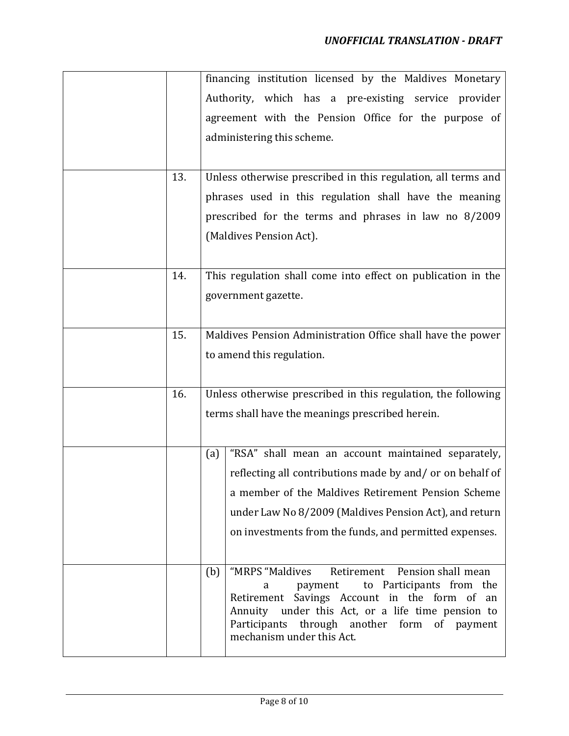|     | financing institution licensed by the Maldives Monetary                                                |
|-----|--------------------------------------------------------------------------------------------------------|
|     | Authority, which has a pre-existing service provider                                                   |
|     | agreement with the Pension Office for the purpose of                                                   |
|     | administering this scheme.                                                                             |
|     |                                                                                                        |
| 13. | Unless otherwise prescribed in this regulation, all terms and                                          |
|     | phrases used in this regulation shall have the meaning                                                 |
|     | prescribed for the terms and phrases in law no 8/2009                                                  |
|     | (Maldives Pension Act).                                                                                |
|     |                                                                                                        |
| 14. | This regulation shall come into effect on publication in the                                           |
|     | government gazette.                                                                                    |
|     |                                                                                                        |
| 15. | Maldives Pension Administration Office shall have the power                                            |
|     | to amend this regulation.                                                                              |
|     |                                                                                                        |
| 16. | Unless otherwise prescribed in this regulation, the following                                          |
|     | terms shall have the meanings prescribed herein.                                                       |
|     |                                                                                                        |
|     |                                                                                                        |
|     | "RSA" shall mean an account maintained separately,<br>(a)                                              |
|     | reflecting all contributions made by and/ or on behalf of                                              |
|     | a member of the Maldives Retirement Pension Scheme                                                     |
|     | under Law No 8/2009 (Maldives Pension Act), and return                                                 |
|     | on investments from the funds, and permitted expenses.                                                 |
|     |                                                                                                        |
|     | Retirement<br>Pension shall mean<br>"MRPS "Maldives<br>(b)<br>to Participants from the<br>payment<br>a |
|     | Retirement Savings Account in the form of an                                                           |
|     | Annuity under this Act, or a life time pension to<br>Participants<br>through another form of payment   |
|     | mechanism under this Act.                                                                              |
|     |                                                                                                        |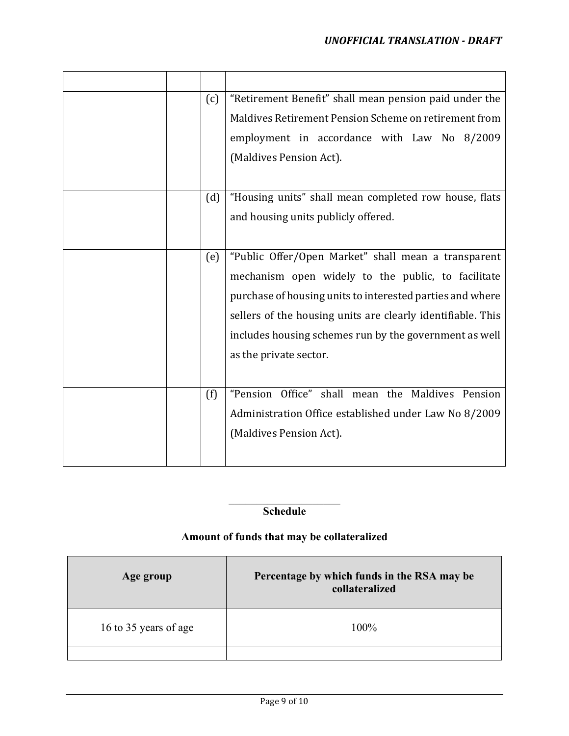|  | (c) | "Retirement Benefit" shall mean pension paid under the<br>Maldives Retirement Pension Scheme on retirement from<br>employment in accordance with Law No 8/2009<br>(Maldives Pension Act).                                                                                                                                 |
|--|-----|---------------------------------------------------------------------------------------------------------------------------------------------------------------------------------------------------------------------------------------------------------------------------------------------------------------------------|
|  | (d) | "Housing units" shall mean completed row house, flats<br>and housing units publicly offered.                                                                                                                                                                                                                              |
|  | (e) | "Public Offer/Open Market" shall mean a transparent<br>mechanism open widely to the public, to facilitate<br>purchase of housing units to interested parties and where<br>sellers of the housing units are clearly identifiable. This<br>includes housing schemes run by the government as well<br>as the private sector. |
|  | (f) | "Pension Office" shall mean the Maldives Pension<br>Administration Office established under Law No 8/2009<br>(Maldives Pension Act).                                                                                                                                                                                      |

### **Schedule**

### **Amount of funds that may be collateralized**

| Age group             | Percentage by which funds in the RSA may be<br>collateralized |
|-----------------------|---------------------------------------------------------------|
| 16 to 35 years of age | 100%                                                          |
|                       |                                                               |